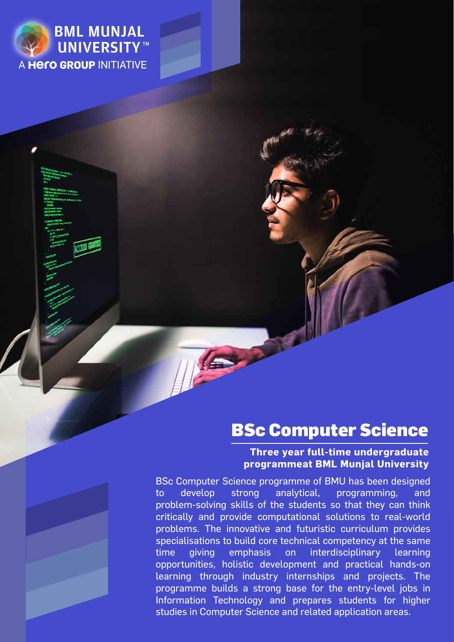

# BSc Computer Science

#### **Three year full-time undergraduate programmeat BML Munjal University**

BSc Computer Science programme of BMU has been designed to develop strong analytical, programming, and problem-solving skills of the students so that they can think critically and provide computational solutions to real-world problems. The innovative and futuristic curriculum provides specialisations to build core technical competency at the same time giving emphasis on interdisciplinary learning opportunities, holistic development and practical hands-on learning through industry internships and projects. The programme builds a strong base for the entry-level jobs in Information Technology and prepares students for higher studies in Computer Science and related application areas.